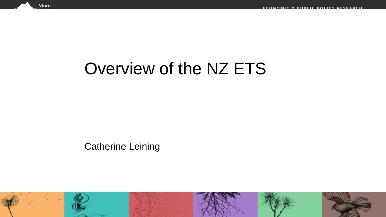# Overview of the NZ ETS

Catherine Leining

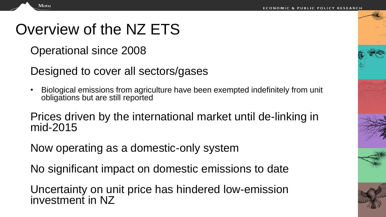# Overview of the NZ ETS

#### Operational since 2008

Motu

#### Designed to cover all sectors/gases

• Biological emissions from agriculture have been exempted indefinitely from unit obligations but are still reported

Prices driven by the international market until de-linking in mid-2015

Now operating as a domestic-only system

No significant impact on domestic emissions to date

Uncertainty on unit price has hindered low-emission investment in NZ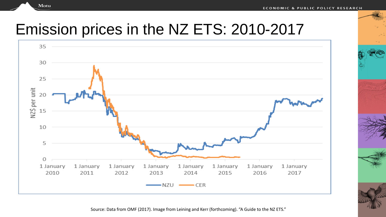## Emission prices in the NZ ETS: 2010-2017





Source: Data from OMF (2017). Image from Leining and Kerr (forthcoming). "A Guide to the NZ ETS."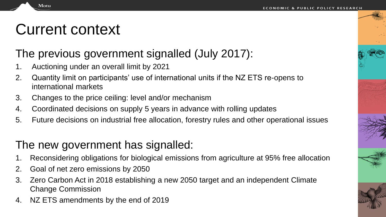# Current context

Motu

#### The previous government signalled (July 2017):

- 1. Auctioning under an overall limit by 2021
- 2. Quantity limit on participants' use of international units if the NZ ETS re-opens to international markets
- 3. Changes to the price ceiling: level and/or mechanism
- 4. Coordinated decisions on supply 5 years in advance with rolling updates
- 5. Future decisions on industrial free allocation, forestry rules and other operational issues

#### The new government has signalled:

- 1. Reconsidering obligations for biological emissions from agriculture at 95% free allocation
- 2. Goal of net zero emissions by 2050
- 3. Zero Carbon Act in 2018 establishing a new 2050 target and an independent Climate Change Commission
- 4. NZ ETS amendments by the end of 2019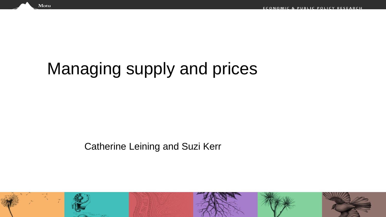# Managing supply and prices

Motu

Catherine Leining and Suzi Kerr

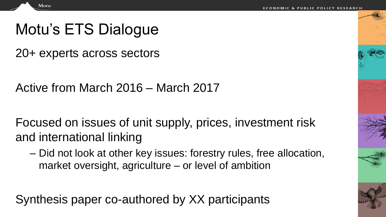## Motu's ETS Dialogue

Motu

20+ experts across sectors

Active from March 2016 – March 2017

Focused on issues of unit supply, prices, investment risk and international linking

– Did not look at other key issues: forestry rules, free allocation, market oversight, agriculture – or level of ambition

Synthesis paper co-authored by XX participants





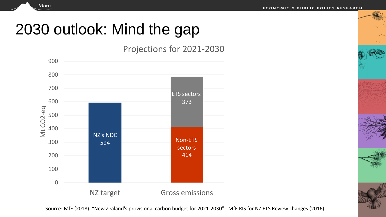# 2030 outlook: Mind the gap

Projections for 2021-2030





Source: MfE (2018). "New Zealand's provisional carbon budget for 2021-2030"; MfE RIS for NZ ETS Review changes (2016).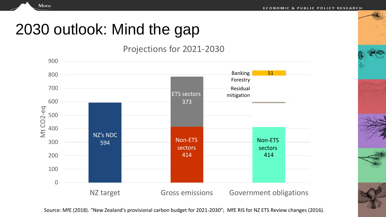# 2030 outlook: Mind the gap

Motu

#### Projections for 2021-2030



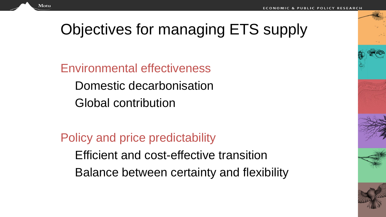# Objectives for managing ETS supply

Environmental effectiveness Domestic decarbonisation Global contribution

Motu

Policy and price predictability Efficient and cost-effective transition Balance between certainty and flexibility









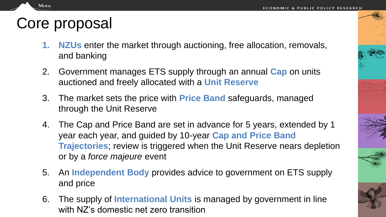## Core proposal

- **1. NZUs** enter the market through auctioning, free allocation, removals, and banking
- 2. Government manages ETS supply through an annual **Cap** on units auctioned and freely allocated with a **Unit Reserve**
- 3. The market sets the price with **Price Band** safeguards, managed through the Unit Reserve
- 4. The Cap and Price Band are set in advance for 5 years, extended by 1 year each year, and guided by 10-year **Cap and Price Band Trajectories**; review is triggered when the Unit Reserve nears depletion or by a *force majeure* event
- 5. An **Independent Body** provides advice to government on ETS supply and price
- 6. The supply of **International Units** is managed by government in line with NZ's domestic net zero transition

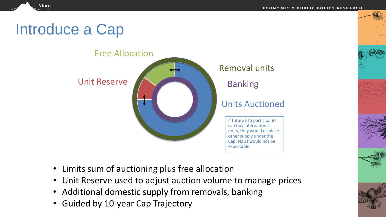# Introduce a Cap



- Limits sum of auctioning plus free allocation
- Unit Reserve used to adjust auction volume to manage prices
- Additional domestic supply from removals, banking
- Guided by 10-year Cap Trajectory







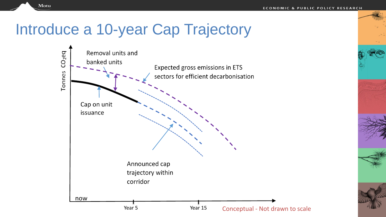#### Introduce a 10-year Cap Trajectory

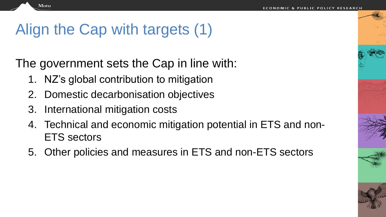# Align the Cap with targets (1)

Motu

The government sets the Cap in line with:

- 1. NZ's global contribution to mitigation
- 2. Domestic decarbonisation objectives
- 3. International mitigation costs
- 4. Technical and economic mitigation potential in ETS and non-ETS sectors
- 5. Other policies and measures in ETS and non-ETS sectors

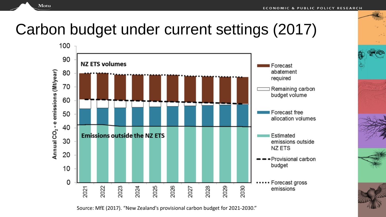## Carbon budget under current settings (2017)



Source: MfE (2017). "New Zealand's provisional carbon budget for 2021-2030."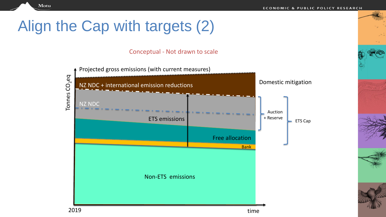# Align the Cap with targets (2)

Conceptual - Not drawn to scale

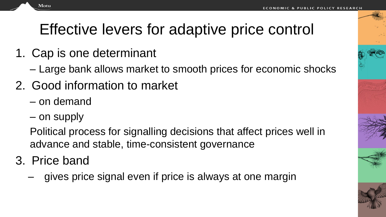# Effective levers for adaptive price control

- 1. Cap is one determinant
	- Large bank allows market to smooth prices for economic shocks
- 2. Good information to market
	- on demand
	- on supply

Motu

Political process for signalling decisions that affect prices well in advance and stable, time-consistent governance

- 3. Price band
	- gives price signal even if price is always at one margin

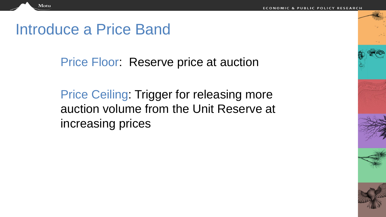#### Introduce a Price Band

Motu

Price Floor: Reserve price at auction

Price Ceiling: Trigger for releasing more auction volume from the Unit Reserve at increasing prices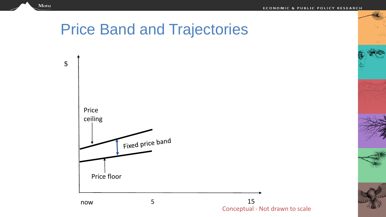#### Price Band and Trajectories

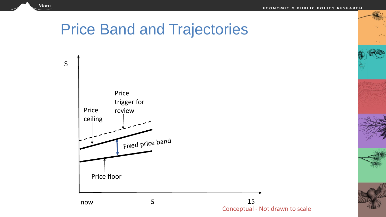#### Price Band and Trajectories

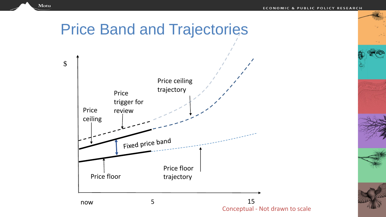#### Price Band and Trajectories